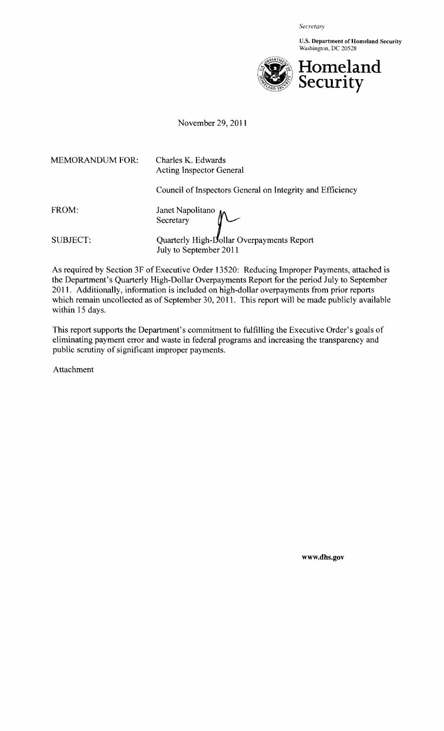*Secretary* 

U.s. Department of Homeland Security Washington, DC 20528



November 29,2011

MEMORANDUM FOR: Charles K. Edwards Acting Inspector General Council of Inspectors General on Integrity and Efficiency FROM: SUBJECT: Janet Nap **Secretary**  $M$ Quarterly High-Dollar Overpayments Report July to September 2011

As required by Section 3F of Executive Order 13520: Reducing Improper Payments, attached is the Department's Quarterly High-Dollar Overpayments Report for the period July to September 2011. Additionally, information is included on high-dollar overpayments from prior reports which remain uncollected as of September 30, 2011. This report will be made publicly available within 15 days.

This report supports the Department's commitment to fulfilling the Executive Order's goals of eliminating payment error and waste in federal programs and increasing the transparency and public scrutiny of significant improper payments.

Attachment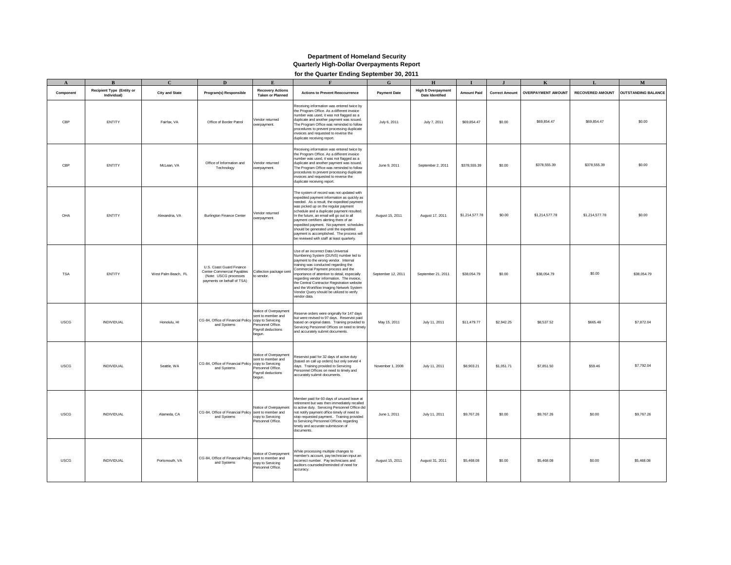#### **Department of Homeland Security Quarterly High-Dollar Overpayments Report**

**for the Quarter Ending September 30, 2011**

|             | $\mathbf{B}$                                    | $\mathbf{C}$          | $\mathbf{D}$                                                                                                  | $\mathbf{F}$                                                                                     |                                                                                                                                                                                                                                                                                                                                                                                                                                                                                                       | $\mathbf{G}$        | H                                                    |                    |                       |                           |                         | $\mathbf M$                |
|-------------|-------------------------------------------------|-----------------------|---------------------------------------------------------------------------------------------------------------|--------------------------------------------------------------------------------------------------|-------------------------------------------------------------------------------------------------------------------------------------------------------------------------------------------------------------------------------------------------------------------------------------------------------------------------------------------------------------------------------------------------------------------------------------------------------------------------------------------------------|---------------------|------------------------------------------------------|--------------------|-----------------------|---------------------------|-------------------------|----------------------------|
| Component   | <b>Recipient Type (Entity or</b><br>Individual) | <b>City and State</b> | Program(s) Responsible                                                                                        | <b>Recovery Actions</b><br><b>Taken or Planned</b>                                               | <b>Actions to Prevent Reoccurrence</b>                                                                                                                                                                                                                                                                                                                                                                                                                                                                | <b>Payment Date</b> | <b>High \$ Overpayment</b><br><b>Date Identified</b> | <b>Amount Paid</b> | <b>Correct Amount</b> | <b>OVERPAYMENT AMOUNT</b> | <b>RECOVERED AMOUNT</b> | <b>OUTSTANDING BALANCE</b> |
| CBP         | ENTITY                                          | Fairfax, VA           | Office of Border Patrol                                                                                       | Vendor returned<br>overpayment.                                                                  | Receiving information was entered twice by<br>the Program Office. As a different invoice<br>number was used, it was not flagged as a<br>duplicate and another payment was issued.<br>The Program Office was reminded to follow<br>procedures to prevent processing duplicate<br>invoices and requested to reverse the<br>duplicate receiving report.                                                                                                                                                  | July 6, 2011        | July 7, 2011                                         | \$69,854.47        | \$0.00                | \$69,854.47               | \$69,854.47             | \$0.00                     |
| CBP         | ENTITY                                          | McLean, VA            | Office of Information and<br>Technology                                                                       | Vendor returned<br>verpayment.                                                                   | Receiving information was entered twice by<br>the Program Office. As a different invoice<br>number was used, it was not flagged as a<br>duplicate and another payment was issued.<br>The Program Office was reminded to follow<br>procedures to prevent processing duplicate<br>invoices and requested to reverse the<br>duplicate receiving report.                                                                                                                                                  | June 9, 2011        | September 2, 2011                                    | \$378,555.39       | \$0.00                | \$378,555.39              | \$378,555.39            | \$0.00                     |
| OHA         | ENTITY                                          | Alexandria, VA        | <b>Burlington Finance Center</b>                                                                              | Vendor returned<br>werpayment.                                                                   | The system of record was not updated with<br>expedited payment information as quickly as<br>needed. As a result, the expedited payment<br>was picked up on the regular payment<br>schedule and a duplicate payment resulted.<br>In the future, an email will go out to all<br>payment certifiers alerting them of an<br>expedited payment. No payment schedules<br>should be generated until the expedited<br>payment is accomplished. The process will<br>be reviewed with staff at least quarterly. | August 15, 2011     | August 17, 2011                                      | \$1,214,577.78     | \$0.00                | \$1,214,577.78            | \$1,214,577.78          | \$0.00                     |
| <b>TSA</b>  | ENTITY                                          | West Palm Beach, FL   | U.S. Coast Guard Finance<br>Center-Commercial Payables<br>(Note: USCG processes<br>payments on behalf of TSA) | Collection package sent<br>to vendor.                                                            | Use of an incorrect Data Universal<br>Numbering System (DUNS) number led to<br>payment to the wrong vendor. Internal<br>training was conducted regarding the<br>Commercial Payment process and the<br>importance of attention to detail, especially<br>regarding vendor information. The invoice,<br>the Central Contractor Registration website<br>and the Workflow Imaging Network System<br>Vendor Query should be utilized to verify<br>vendor data.                                              | September 12, 2011  | September 21, 2011                                   | \$38,054.79        | \$0.00                | \$38,054.79               | \$0.00                  | \$38,054.79                |
| <b>USCG</b> | INDIVIDUAL                                      | Honolulu, HI          | CG-84, Office of Financial Policy copy to Servicing<br>and Systems                                            | Notice of Overpayment<br>sent to member and<br>Personnel Office.<br>Payroll deductions<br>begun. | Reserve orders were originally for 147 days<br>but were revised to 97 days. Reservist paid<br>based on original dates. Training provided to<br>Servicing Personnel Offices on need to timely<br>and accurately submit documents.                                                                                                                                                                                                                                                                      | May 15, 2011        | July 11, 2011                                        | \$11,479.77        | \$2,942.25            | \$8,537.52                | \$665.48                | \$7,872.04                 |
| <b>USCG</b> | INDIVIDUAL                                      | Seattle, WA           | CG-84, Office of Financial Policy copy to Servicing<br>and Systems                                            | Notice of Overpayment<br>sent to member and<br>Personnel Office.<br>Payroll deductions<br>begun. | Reservist paid for 32 days of active duty<br>(based on call up orders) but only served 4<br>days. Training provided to Servicing<br>Personnel Offices on need to timely and<br>accurately submit documents.                                                                                                                                                                                                                                                                                           | November 1, 2008    | July 11, 2011                                        | \$8,903.21         | \$1,051.71            | \$7,851.50                | \$59.46                 | \$7,792.04                 |
| <b>USCG</b> | INDIVIDUAL                                      | Alameda, CA           | CG-84, Office of Financial Policy sent to member and<br>and Systems                                           | Notice of Overpayment<br>copy to Servicing<br>Personnel Office.                                  | Member paid for 60 days of unused leave at<br>retirement but was then immediately recalled<br>to active duty. Servicing Personnel Office did<br>not notify payment office timely of need to<br>stop requested payment Training provided<br>to Servicing Personnel Offices regarding<br>timely and accurate submission of<br>documents.                                                                                                                                                                | June 1, 2011        | July 11, 2011                                        | \$9,767.26         | \$0.00                | \$9,767.26                | \$0.00                  | \$9,767.26                 |
| <b>USCG</b> | INDIVIDUAL                                      | Portsmouth, VA        | CG-84, Office of Financial Policy sent to member and<br>and Systems                                           | Notice of Overpayment<br>copy to Servicing<br>Personnel Office.                                  | While processing multiple changes to<br>ember's account, pay technician input an<br>incorrect number. Pay technicians and<br>auditors counseled/reminded of need for<br>accuracy.                                                                                                                                                                                                                                                                                                                     | August 15, 2011     | August 31, 2011                                      | \$5,468.08         | \$0.00                | \$5,468.08                | \$0.00                  | \$5,468.08                 |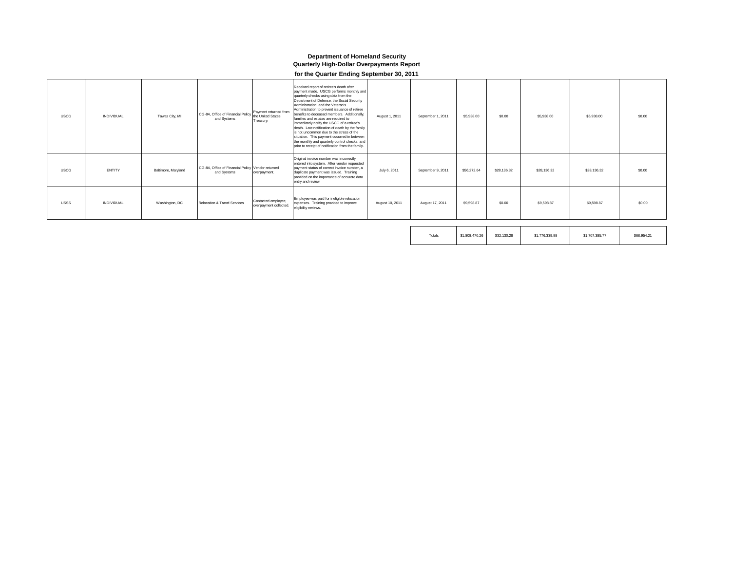### **Department of Homeland Security Quarterly High-Dollar Overpayments Report**

#### **for the Quarter Ending September 30, 2011**

| <b>USCG</b> | <b>INDIVIDUAL</b> | Tawas City, MI      | Payment returned from<br>CG-84, Office of Financial Policy regiment to an over the<br>and Systems<br>Treasury. | Received report of retiree's death after<br>payment made. USCG performs monthly and<br>quarterly checks using data from the<br>Department of Defense, the Social Security<br>Administration, and the Veteran's<br>Administration to prevent issuance of retiree<br>benefits to deceased members. Additionally.<br>families and estates are required to<br>immediately notify the USCG of a retiree's<br>death. Late notification of death by the family<br>is not uncommon due to the stress of the<br>situation. This payment occurred in between<br>the monthly and quarterly control checks, and<br>prior to receipt of notification from the family. | August 1, 2011  | September 1, 2011 | \$5,938.00  | \$0.00      | \$5,938.00  | \$5,938.00  | \$0.00 |
|-------------|-------------------|---------------------|----------------------------------------------------------------------------------------------------------------|----------------------------------------------------------------------------------------------------------------------------------------------------------------------------------------------------------------------------------------------------------------------------------------------------------------------------------------------------------------------------------------------------------------------------------------------------------------------------------------------------------------------------------------------------------------------------------------------------------------------------------------------------------|-----------------|-------------------|-------------|-------------|-------------|-------------|--------|
| <b>USCG</b> | ENTITY            | Baltimore, Maryland | CG-84, Office of Financial Policy Vendor returned<br>and Systems<br>overpayment.                               | Original invoice number was incorrectly<br>entered into system. After vendor requested<br>payment status of correct invoice number, a<br>duplicate payment was issued. Training<br>provided on the importance of accurate data<br>entry and review.                                                                                                                                                                                                                                                                                                                                                                                                      | July 6, 2011    | September 9, 2011 | \$56,272.64 | \$28,136.32 | \$28,136,32 | \$28,136.32 | \$0.00 |
| <b>USSS</b> | <b>INDIVIDUAL</b> | Washington, DC      | Contacted employee,<br>Relocation & Travel Services<br>overpayment collected.                                  | Employee was paid for ineligible relocation<br>expenses. Training provided to improve<br>eligibility reviews.                                                                                                                                                                                                                                                                                                                                                                                                                                                                                                                                            | August 10, 2011 | August 17, 2011   | \$9,598.87  | \$0.00      | \$9,598.87  | \$9,598.87  | \$0.00 |

| Totals | \$1,808,470.26 | \$32,130.28 | \$1,776,339.98 | \$1,707,385,77 | \$68,954.21 |
|--------|----------------|-------------|----------------|----------------|-------------|
|        |                |             |                |                |             |